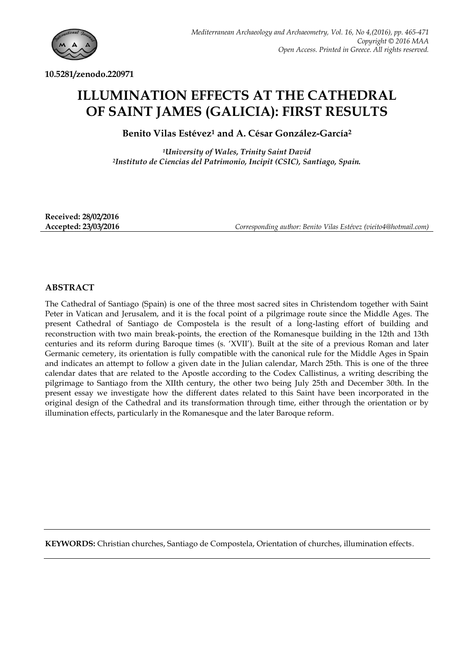

**10.5281/zenodo.220971**

# **ILLUMINATION EFFECTS AT THE CATHEDRAL OF SAINT JAMES (GALICIA): FIRST RESULTS**

**Benito Vilas Estévez<sup>1</sup> and A. César González-García<sup>2</sup>**

*<sup>1</sup>University of Wales, Trinity Saint David <sup>2</sup>Instituto de Ciencias del Patrimonio, Incipit (CSIC), Santiago, Spain.*

**Received: 28/02/2016**

**Accepted: 23/03/2016** *Corresponding author: Benito Vilas Estévez (vieito4@hotmail.com)*

# **ABSTRACT**

The Cathedral of Santiago (Spain) is one of the three most sacred sites in Christendom together with Saint Peter in Vatican and Jerusalem, and it is the focal point of a pilgrimage route since the Middle Ages. The present Cathedral of Santiago de Compostela is the result of a long-lasting effort of building and reconstruction with two main break-points, the erection of the Romanesque building in the 12th and 13th centuries and its reform during Baroque times (s. "XVII"). Built at the site of a previous Roman and later Germanic cemetery, its orientation is fully compatible with the canonical rule for the Middle Ages in Spain and indicates an attempt to follow a given date in the Julian calendar, March 25th. This is one of the three calendar dates that are related to the Apostle according to the Codex Callistinus, a writing describing the pilgrimage to Santiago from the XIIth century, the other two being July 25th and December 30th. In the present essay we investigate how the different dates related to this Saint have been incorporated in the original design of the Cathedral and its transformation through time, either through the orientation or by illumination effects, particularly in the Romanesque and the later Baroque reform.

**KEYWORDS:** Christian churches, Santiago de Compostela, Orientation of churches, illumination effects.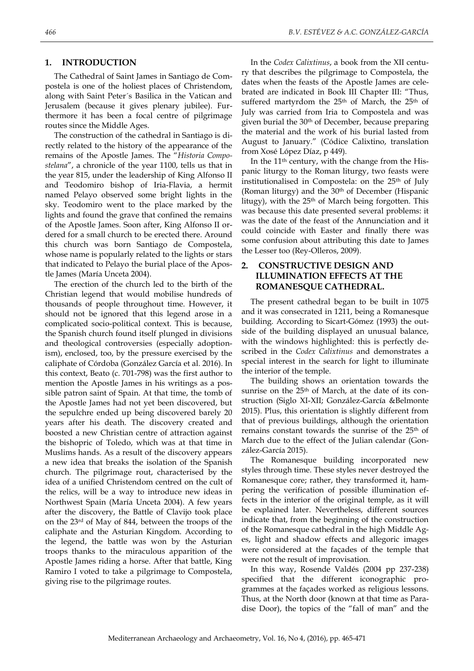#### **1. INTRODUCTION**

The Cathedral of Saint James in Santiago de Compostela is one of the holiest places of Christendom, along with Saint Peter´s Basilica in the Vatican and Jerusalem (because it gives plenary jubilee). Furthermore it has been a focal centre of pilgrimage routes since the Middle Ages.

The construction of the cathedral in Santiago is directly related to the history of the appearance of the remains of the Apostle James. The "*Historia Compostelana*", a chronicle of the year 1100, tells us that in the year 815, under the leadership of King Alfonso II and Teodomiro bishop of Iria-Flavia, a hermit named Pelayo observed some bright lights in the sky. Teodomiro went to the place marked by the lights and found the grave that confined the remains of the Apostle James. Soon after, King Alfonso II ordered for a small church to be erected there. Around this church was born Santiago de Compostela, whose name is popularly related to the lights or stars that indicated to Pelayo the burial place of the Apostle James (María Unceta 2004).

The erection of the church led to the birth of the Christian legend that would mobilise hundreds of thousands of people throughout time. However, it should not be ignored that this legend arose in a complicated socio-political context. This is because, the Spanish church found itself plunged in divisions and theological controversies (especially adoptionism), enclosed, too, by the pressure exercised by the caliphate of Córdoba (González García et al. 2016). In this context, Beato (c. 701-798) was the first author to mention the Apostle James in his writings as a possible patron saint of Spain. At that time, the tomb of the Apostle James had not yet been discovered, but the sepulchre ended up being discovered barely 20 years after his death. The discovery created and boosted a new Christian centre of attraction against the bishopric of Toledo, which was at that time in Muslims hands. As a result of the discovery appears a new idea that breaks the isolation of the Spanish church. The pilgrimage rout, characterised by the idea of a unified Christendom centred on the cult of the relics, will be a way to introduce new ideas in Northwest Spain (María Unceta 2004). A few years after the discovery, the Battle of Clavijo took place on the 23rd of May of 844, between the troops of the caliphate and the Asturian Kingdom. According to the legend, the battle was won by the Asturian troops thanks to the miraculous apparition of the Apostle James riding a horse. After that battle, King Ramiro I voted to take a pilgrimage to Compostela, giving rise to the pilgrimage routes.

In the *Codex Calixtinus*, a book from the XII century that describes the pilgrimage to Compostela, the dates when the feasts of the Apostle James are celebrated are indicated in Book III Chapter III: "Thus, suffered martyrdom the 25<sup>th</sup> of March, the 25<sup>th</sup> of July was carried from Iria to Compostela and was given burial the 30th of December, because preparing the material and the work of his burial lasted from August to January." (Códice Calixtino, translation from Xosé López Díaz, p 449).

In the 11th century, with the change from the Hispanic liturgy to the Roman liturgy, two feasts were institutionalised in Compostela: on the 25<sup>th</sup> of July (Roman liturgy) and the 30<sup>th</sup> of December (Hispanic litugy), with the  $25<sup>th</sup>$  of March being forgotten. This was because this date presented several problems: it was the date of the feast of the Annunciation and it could coincide with Easter and finally there was some confusion about attributing this date to James the Lesser too (Rey-Olleros, 2009).

# **2. CONSTRUCTIVE DESIGN AND ILLUMINATION EFFECTS AT THE ROMANESQUE CATHEDRAL.**

The present cathedral began to be built in 1075 and it was consecrated in 1211, being a Romanesque building. According to Sicart-Gómez (1993) the outside of the building displayed an unusual balance, with the windows highlighted: this is perfectly described in the *Codex Calixtinus* and demonstrates a special interest in the search for light to illuminate the interior of the temple.

The building shows an orientation towards the sunrise on the 25<sup>th</sup> of March, at the date of its construction (Siglo XI-XII; González-García &Belmonte 2015). Plus, this orientation is slightly different from that of previous buildings, although the orientation remains constant towards the sunrise of the 25<sup>th</sup> of March due to the effect of the Julian calendar (González-García 2015).

The Romanesque building incorporated new styles through time. These styles never destroyed the Romanesque core; rather, they transformed it, hampering the verification of possible illumination effects in the interior of the original temple, as it will be explained later. Nevertheless, different sources indicate that, from the beginning of the construction of the Romanesque cathedral in the high Middle Ages, light and shadow effects and allegoric images were considered at the façades of the temple that were not the result of improvisation.

In this way, Rosende Valdés (2004 pp 237-238) specified that the different iconographic programmes at the façades worked as religious lessons. Thus, at the North door (known at that time as Paradise Door), the topics of the "fall of man" and the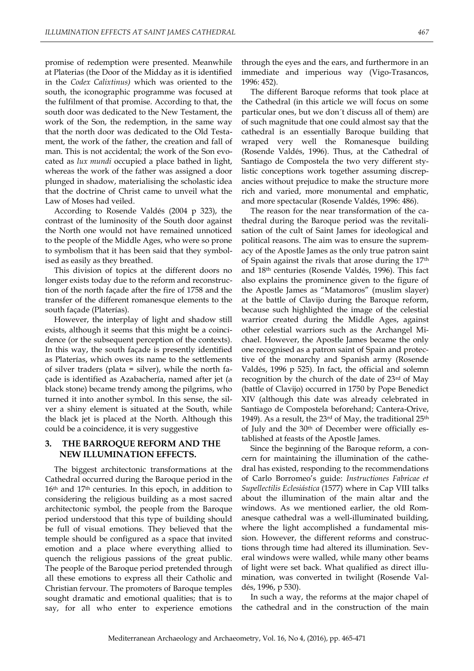promise of redemption were presented. Meanwhile at Platerias (the Door of the Midday as it is identified in the *Codex Calixtinus)* which was oriented to the south, the iconographic programme was focused at the fulfilment of that promise. According to that, the south door was dedicated to the New Testament, the work of the Son, the redemption, in the same way that the north door was dedicated to the Old Testament, the work of the father, the creation and fall of man. This is not accidental; the work of the Son evocated as *lux mundi* occupied a place bathed in light, whereas the work of the father was assigned a door plunged in shadow, materialising the scholastic idea that the doctrine of Christ came to unveil what the Law of Moses had veiled.

According to Rosende Valdés (2004 p 323), the contrast of the luminosity of the South door against the North one would not have remained unnoticed to the people of the Middle Ages, who were so prone to symbolism that it has been said that they symbolised as easily as they breathed.

This division of topics at the different doors no longer exists today due to the reform and reconstruction of the north façade after the fire of 1758 and the transfer of the different romanesque elements to the south façade (Platerías).

However, the interplay of light and shadow still exists, although it seems that this might be a coincidence (or the subsequent perception of the contexts). In this way, the south façade is presently identified as Platerías, which owes its name to the settlements of silver traders (plata = silver), while the north façade is identified as Azabachería, named after jet (a black stone) became trendy among the pilgrims, who turned it into another symbol. In this sense, the silver a shiny element is situated at the South, while the black jet is placed at the North. Although this could be a coincidence, it is very suggestive

## **3. THE BARROQUE REFORM AND THE NEW ILLUMINATION EFFECTS.**

The biggest architectonic transformations at the Cathedral occurred during the Baroque period in the 16th and 17th centuries. In this epoch, in addition to considering the religious building as a most sacred architectonic symbol, the people from the Baroque period understood that this type of building should be full of visual emotions. They believed that the temple should be configured as a space that invited emotion and a place where everything allied to quench the religious passions of the great public. The people of the Baroque period pretended through all these emotions to express all their Catholic and Christian fervour. The promoters of Baroque temples sought dramatic and emotional qualities; that is to say, for all who enter to experience emotions

through the eyes and the ears, and furthermore in an immediate and imperious way (Vigo-Trasancos, 1996: 452).

The different Baroque reforms that took place at the Cathedral (in this article we will focus on some particular ones, but we don´t discuss all of them) are of such magnitude that one could almost say that the cathedral is an essentially Baroque building that wraped very well the Romanesque building (Rosende Valdés, 1996). Thus, at the Cathedral of Santiago de Compostela the two very different stylistic conceptions work together assuming discrepancies without prejudice to make the structure more rich and varied, more monumental and emphatic, and more spectacular (Rosende Valdés, 1996: 486).

The reason for the near transformation of the cathedral during the Baroque period was the revitalisation of the cult of Saint James for ideological and political reasons. The aim was to ensure the supremacy of the Apostle James as the only true patron saint of Spain against the rivals that arose during the 17<sup>th</sup> and 18th centuries (Rosende Valdés, 1996). This fact also explains the prominence given to the figure of the Apostle James as "Matamoros" (muslim slayer) at the battle of Clavijo during the Baroque reform, because such highlighted the image of the celestial warrior created during the Middle Ages, against other celestial warriors such as the Archangel Michael. However, the Apostle James became the only one recognised as a patron saint of Spain and protective of the monarchy and Spanish army (Rosende Valdés, 1996 p 525). In fact, the official and solemn recognition by the church of the date of 23rd of May (battle of Clavijo) occurred in 1750 by Pope Benedict XIV (although this date was already celebrated in Santiago de Compostela beforehand; Cantera-Orive, 1949). As a result, the  $23<sup>rd</sup>$  of May, the traditional  $25<sup>th</sup>$ of July and the 30th of December were officially established at feasts of the Apostle James.

Since the beginning of the Baroque reform, a concern for maintaining the illumination of the cathedral has existed, responding to the recommendations of Carlo Borromeo"s guide: *Instructiones Fabricae et Supellectilis Eclesiástica* (1577) where in Cap VIII talks about the illumination of the main altar and the windows. As we mentioned earlier, the old Romanesque cathedral was a well-illuminated building, where the light accomplished a fundamental mission. However, the different reforms and constructions through time had altered its illumination. Several windows were walled, while many other beams of light were set back. What qualified as direct illumination, was converted in twilight (Rosende Valdés, 1996, p 530).

In such a way, the reforms at the major chapel of the cathedral and in the construction of the main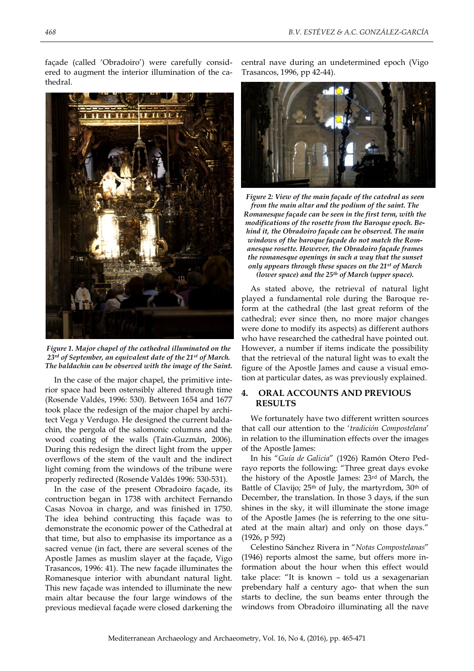façade (called "Obradoiro") were carefully considered to augment the interior illumination of the cathedral.

**MITTORIAL** 



*Figure 1. Major chapel of the cathedral illuminated on the 23rd of September, an equivalent date of the 21st of March. The baldachin can be observed with the image of the Saint.*

In the case of the major chapel, the primitive interior space had been ostensibly altered through time (Rosende Valdés, 1996: 530). Between 1654 and 1677 took place the redesign of the major chapel by architect Vega y Verdugo. He designed the current baldachin, the pergola of the salomonic columns and the wood coating of the walls (Taín-Guzmán, 2006). During this redesign the direct light from the upper overflows of the stem of the vault and the indirect light coming from the windows of the tribune were properly redirected (Rosende Valdés 1996: 530-531).

In the case of the present Obradoiro façade, its contruction began in 1738 with architect Fernando Casas Novoa in charge, and was finished in 1750. The idea behind contructing this façade was to demonstrate the economic power of the Cathedral at that time, but also to emphasise its importance as a sacred venue (in fact, there are several scenes of the Apostle James as muslim slayer at the façade, Vigo Trasancos, 1996: 41). The new façade illuminates the Romanesque interior with abundant natural light. This new façade was intended to illuminate the new main altar because the four large windows of the previous medieval façade were closed darkening the

central nave during an undetermined epoch (Vigo Trasancos, 1996, pp 42-44).



*Figure 2: View of the main façade of the catedral as seen from the main altar and the podium of the saint. The Romanesque façade can be seen in the first term, with the modifications of the rosette from the Baroque epoch. Behind it, the Obradoiro façade can be observed. The main windows of the baroque façade do not match the Romanesque rosette. However, the Obradoiro façade frames the romanesque openings in such a way that the sunset only appears through these spaces on the 21st of March (lower space) and the 25th of March (upper space).*

As stated above, the retrieval of natural light played a fundamental role during the Baroque reform at the cathedral (the last great reform of the cathedral; ever since then, no more major changes were done to modify its aspects) as different authors who have researched the cathedral have pointed out. However, a number if items indicate the possibility that the retrieval of the natural light was to exalt the figure of the Apostle James and cause a visual emotion at particular dates, as was previously explained.

## **4. ORAL ACCOUNTS AND PREVIOUS RESULTS**

We fortunately have two different written sources that call our attention to the "*tradición Compostelana*" in relation to the illumination effects over the images of the Apostle James:

In his "*Guía de Galicia*" (1926) Ramón Otero Pedrayo reports the following: "Three great days evoke the history of the Apostle James: 23rd of March, the Battle of Clavijo; 25<sup>th</sup> of July, the martyrdom, 30<sup>th</sup> of December, the translation. In those 3 days, if the sun shines in the sky, it will illuminate the stone image of the Apostle James (he is referring to the one situated at the main altar) and only on those days." (1926, p 592)

Celestino Sánchez Rivera in "*Notas Compostelanas*" (1946) reports almost the same, but offers more information about the hour when this effect would take place: "It is known – told us a sexagenarian prebendary half a century ago- that when the sun starts to decline, the sun beams enter through the windows from Obradoiro illuminating all the nave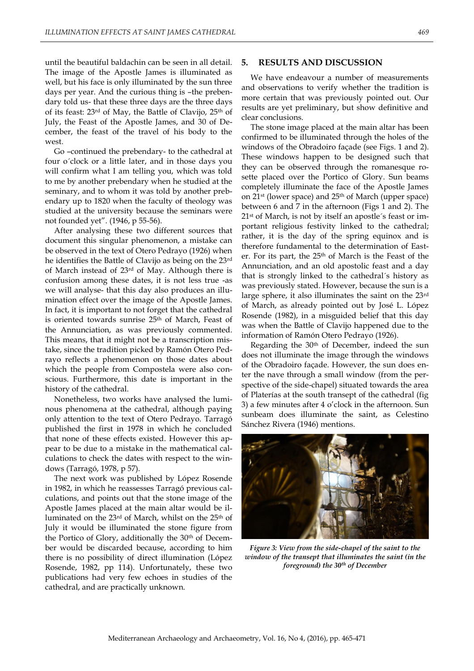until the beautiful baldachin can be seen in all detail. The image of the Apostle James is illuminated as well, but his face is only illuminated by the sun three days per year. And the curious thing is –the prebendary told us- that these three days are the three days of its feast: 23rd of May, the Battle of Clavijo, 25th of July, the Feast of the Apostle James, and 30 of December, the feast of the travel of his body to the west.

Go –continued the prebendary- to the cathedral at four o´clock or a little later, and in those days you will confirm what I am telling you, which was told to me by another prebendary when he studied at the seminary, and to whom it was told by another prebendary up to 1820 when the faculty of theology was studied at the university because the seminars were not founded yet". (1946, p 55-56).

After analysing these two different sources that document this singular phenomenon, a mistake can be observed in the text of Otero Pedrayo (1926) when he identifies the Battle of Clavijo as being on the 23rd of March instead of 23rd of May. Although there is confusion among these dates, it is not less true -as we will analyse- that this day also produces an illumination effect over the image of the Apostle James. In fact, it is important to not forget that the cathedral is oriented towards sunrise 25<sup>th</sup> of March, Feast of the Annunciation, as was previously commented. This means, that it might not be a transcription mistake, since the tradition picked by Ramón Otero Pedrayo reflects a phenomenon on those dates about which the people from Compostela were also conscious. Furthermore, this date is important in the history of the cathedral.

Nonetheless, two works have analysed the luminous phenomena at the cathedral, although paying only attention to the text of Otero Pedrayo. Tarragó published the first in 1978 in which he concluded that none of these effects existed. However this appear to be due to a mistake in the mathematical calculations to check the dates with respect to the windows (Tarragó, 1978, p 57).

The next work was published by López Rosende in 1982, in which he reassesses Tarragó previous calculations, and points out that the stone image of the Apostle James placed at the main altar would be illuminated on the 23rd of March, whilst on the 25th of July it would be illuminated the stone figure from the Portico of Glory, additionally the 30<sup>th</sup> of December would be discarded because, according to him there is no possibility of direct illumination (López Rosende, 1982, pp 114). Unfortunately, these two publications had very few echoes in studies of the cathedral, and are practically unknown.

#### **5. RESULTS AND DISCUSSION**

We have endeavour a number of measurements and observations to verify whether the tradition is more certain that was previously pointed out. Our results are yet preliminary, but show definitive and clear conclusions.

The stone image placed at the main altar has been confirmed to be illuminated through the holes of the windows of the Obradoiro façade (see Figs. 1 and 2). These windows happen to be designed such that they can be observed through the romanesque rosette placed over the Portico of Glory. Sun beams completely illuminate the face of the Apostle James on 21st (lower space) and 25th of March (upper space) between 6 and 7 in the afternoon (Figs 1 and 2). The 21st of March, is not by itself an apostle´s feast or important religious festivity linked to the cathedral; rather, it is the day of the spring equinox and is therefore fundamental to the determination of Easter. For its part, the 25<sup>th</sup> of March is the Feast of the Annunciation, and an old apostolic feast and a day that is strongly linked to the cathedral´s history as was previously stated. However, because the sun is a large sphere, it also illuminates the saint on the 23rd of March, as already pointed out by José L. López Rosende (1982), in a misguided belief that this day was when the Battle of Clavijo happened due to the information of Ramón Otero Pedrayo (1926).

Regarding the 30th of December, indeed the sun does not illuminate the image through the windows of the Obradoiro façade. However, the sun does enter the nave through a small window (from the perspective of the side-chapel) situated towards the area of Platerías at the south transept of the cathedral (fig 3) a few minutes after 4 o"clock in the afternoon. Sun sunbeam does illuminate the saint, as Celestino Sánchez Rivera (1946) mentions.



*window of the transept that illuminates the saint (in the foreground) the 30th of December*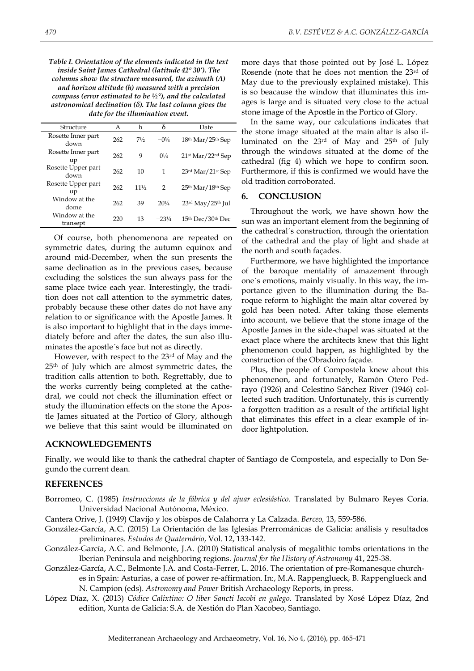*Table I. Orientation of the elements indicated in the text inside Saint James Cathedral (latitude 42º 30'). The columns show the structure measured, the azimuth (A) and horizon altitude (h) measured with a precision compass (error estimated to be ½°), and the calculated astronomical declination (δ). The last column gives the date for the illumination event.*

| A   | h               | δ                | Date                                        |
|-----|-----------------|------------------|---------------------------------------------|
| 262 | 71/2            | $-0\frac{3}{4}$  | $18th$ Mar/ $25th$ Sep                      |
| 262 | 9               | $0^{1/4}$        | $21$ <sup>st</sup> Mar/22 <sup>nd</sup> Sep |
| 262 | 10              | 1                | $23$ <sup>rd</sup> Mar/21 <sup>st</sup> Sep |
| 262 | $11\frac{1}{2}$ | 2                | 25 <sup>th</sup> Mar/18 <sup>th</sup> Sep   |
| 262 | 39              | $20^{1/4}$       | $23rd$ May/ $25th$ Jul                      |
| 220 | 13              | $-23\frac{1}{4}$ | 15th Dec/30th Dec                           |
|     |                 |                  |                                             |

Of course, both phenomenona are repeated on symmetric dates, during the autumn equinox and around mid-December, when the sun presents the same declination as in the previous cases, because excluding the solstices the sun always pass for the same place twice each year. Interestingly, the tradition does not call attention to the symmetric dates, probably because these other dates do not have any relation to or significance with the Apostle James. It is also important to highlight that in the days immediately before and after the dates, the sun also illuminates the apostle´s face but not as directly.

However, with respect to the 23rd of May and the 25th of July which are almost symmetric dates, the tradition calls attention to both. Regrettably, due to the works currently being completed at the cathedral, we could not check the illumination effect or study the illumination effects on the stone the Apostle James situated at the Portico of Glory, although we believe that this saint would be illuminated on

**ACKNOWLEDGEMENTS**

more days that those pointed out by José L. López Rosende (note that he does not mention the 23rd of May due to the previously explained mistake). This is so beacause the window that illuminates this images is large and is situated very close to the actual stone image of the Apostle in the Portico of Glory.

In the same way, our calculations indicates that - the stone image situated at the main altar is also illuminated on the 23rd of May and 25th of July through the windows situated at the dome of the cathedral (fig 4) which we hope to confirm soon. Furthermore, if this is confirmed we would have the old tradition corroborated.

### **6. CONCLUSION**

Throughout the work, we have shown how the sun was an important element from the beginning of the cathedral´s construction, through the orientation of the cathedral and the play of light and shade at the north and south façades.

Furthermore, we have highlighted the importance of the baroque mentality of amazement through one´s emotions, mainly visually. In this way, the importance given to the illumination during the Baroque reform to highlight the main altar covered by gold has been noted. After taking those elements into account, we believe that the stone image of the Apostle James in the side-chapel was situated at the exact place where the architects knew that this light phenomenon could happen, as highlighted by the construction of the Obradoiro façade.

Plus, the people of Compostela knew about this phenomenon, and fortunately, Ramón Otero Pedrayo (1926) and Celestino Sánchez River (1946) collected such tradition. Unfortunately, this is currently a forgotten tradition as a result of the artificial light that eliminates this effect in a clear example of indoor lightpolution.

Finally, we would like to thank the cathedral chapter of Santiago de Compostela, and especially to Don Segundo the current dean.

#### **REFERENCES**

Borromeo, C. (1985) *Instrucciones de la fábrica y del ajuar eclesiástico*. Translated by Bulmaro Reyes Coria. Universidad Nacional Autónoma, México.

Cantera Orive, J. (1949) Clavijo y los obispos de Calahorra y La Calzada. *Berceo,* 13, 559-586.

- González-García, A.C. (2015) La Orientación de las Iglesias Prerrománicas de Galicia: análisis y resultados preliminares. *Estudos de Quaternário*, Vol. 12, 133-142.
- González-García, A.C. and Belmonte, J.A. (2010) Statistical analysis of megalithic tombs orientations in the Iberian Peninsula and neighboring regions. *Journal for the History of Astronomy* 41, 225-38.
- González-García, A.C., Belmonte J.A. and Costa-Ferrer, L. 2016. The orientation of pre-Romanesque churches in Spain: Asturias, a case of power re-affirmation. In:, M.A. Rappenglueck, B. Rappenglueck and N. Campion (eds). *Astronomy and Power* British Archaeology Reports, in press.
- López Díaz, X. (2013) *Códice Calixtino: O liber Sancti Iacobi en galego.* Translated by Xosé López Díaz, 2nd edition, Xunta de Galicia: S.A. de Xestión do Plan Xacobeo, Santiago.